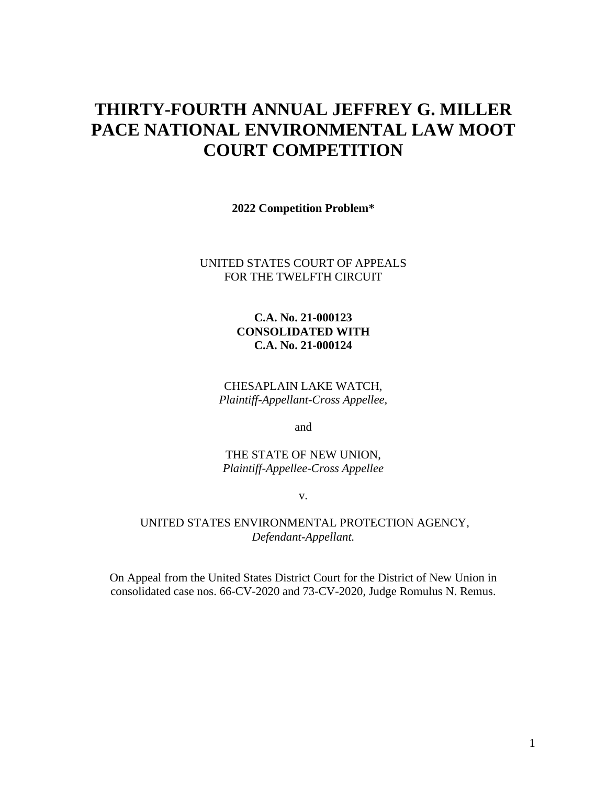# **THIRTY-FOURTH ANNUAL JEFFREY G. MILLER PACE NATIONAL ENVIRONMENTAL LAW MOOT COURT COMPETITION**

**2022 Competition Problem\*** 

#### UNITED STATES COURT OF APPEALS FOR THE TWELFTH CIRCUIT

### **C.A. No. 21-000123 CONSOLIDATED WITH C.A. No. 21-000124**

CHESAPLAIN LAKE WATCH, *Plaintiff-Appellant-Cross Appellee,*

and

THE STATE OF NEW UNION, *Plaintiff-Appellee-Cross Appellee*

v.

#### UNITED STATES ENVIRONMENTAL PROTECTION AGENCY, *Defendant-Appellant.*

On Appeal from the United States District Court for the District of New Union in consolidated case nos. 66-CV-2020 and 73-CV-2020, Judge Romulus N. Remus.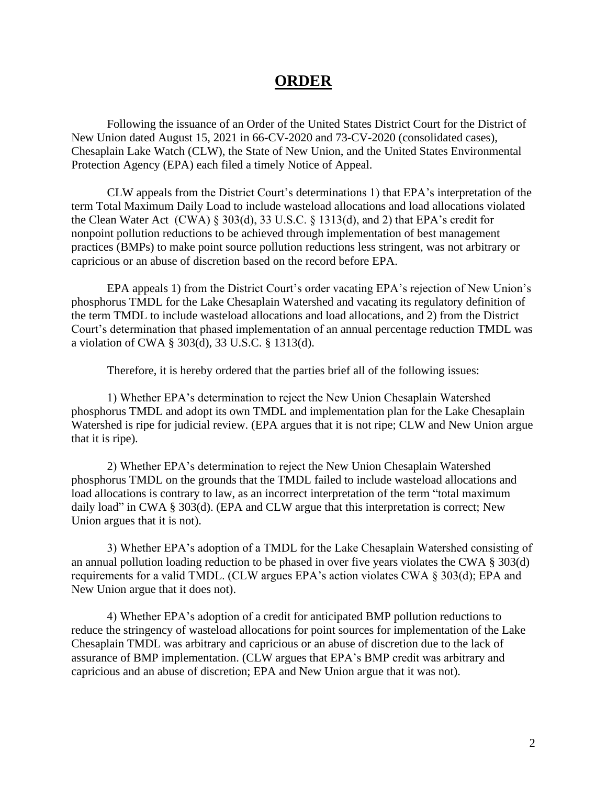# **ORDER**

Following the issuance of an Order of the United States District Court for the District of New Union dated August 15, 2021 in 66-CV-2020 and 73-CV-2020 (consolidated cases), Chesaplain Lake Watch (CLW), the State of New Union, and the United States Environmental Protection Agency (EPA) each filed a timely Notice of Appeal.

CLW appeals from the District Court's determinations 1) that EPA's interpretation of the term Total Maximum Daily Load to include wasteload allocations and load allocations violated the Clean Water Act (CWA) § 303(d), 33 U.S.C. § 1313(d), and 2) that EPA's credit for nonpoint pollution reductions to be achieved through implementation of best management practices (BMPs) to make point source pollution reductions less stringent, was not arbitrary or capricious or an abuse of discretion based on the record before EPA.

EPA appeals 1) from the District Court's order vacating EPA's rejection of New Union's phosphorus TMDL for the Lake Chesaplain Watershed and vacating its regulatory definition of the term TMDL to include wasteload allocations and load allocations, and 2) from the District Court's determination that phased implementation of an annual percentage reduction TMDL was a violation of CWA § 303(d), 33 U.S.C. § 1313(d).

Therefore, it is hereby ordered that the parties brief all of the following issues:

1) Whether EPA's determination to reject the New Union Chesaplain Watershed phosphorus TMDL and adopt its own TMDL and implementation plan for the Lake Chesaplain Watershed is ripe for judicial review. (EPA argues that it is not ripe; CLW and New Union argue that it is ripe).

2) Whether EPA's determination to reject the New Union Chesaplain Watershed phosphorus TMDL on the grounds that the TMDL failed to include wasteload allocations and load allocations is contrary to law, as an incorrect interpretation of the term "total maximum daily load" in CWA § 303(d). (EPA and CLW argue that this interpretation is correct; New Union argues that it is not).

3) Whether EPA's adoption of a TMDL for the Lake Chesaplain Watershed consisting of an annual pollution loading reduction to be phased in over five years violates the CWA § 303(d) requirements for a valid TMDL. (CLW argues EPA's action violates CWA § 303(d); EPA and New Union argue that it does not).

4) Whether EPA's adoption of a credit for anticipated BMP pollution reductions to reduce the stringency of wasteload allocations for point sources for implementation of the Lake Chesaplain TMDL was arbitrary and capricious or an abuse of discretion due to the lack of assurance of BMP implementation. (CLW argues that EPA's BMP credit was arbitrary and capricious and an abuse of discretion; EPA and New Union argue that it was not).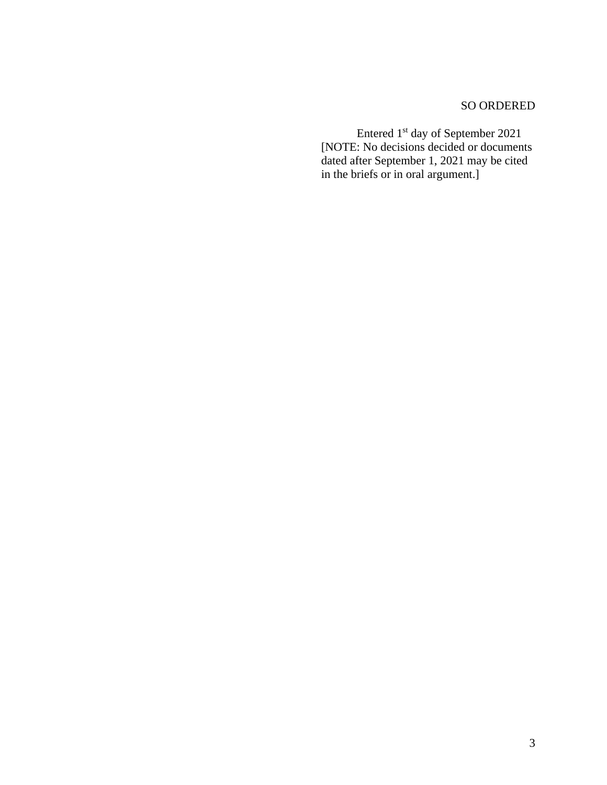# SO ORDERED

Entered 1<sup>st</sup> day of September 2021 [NOTE: No decisions decided or documents dated after September 1, 2021 may be cited in the briefs or in oral argument.]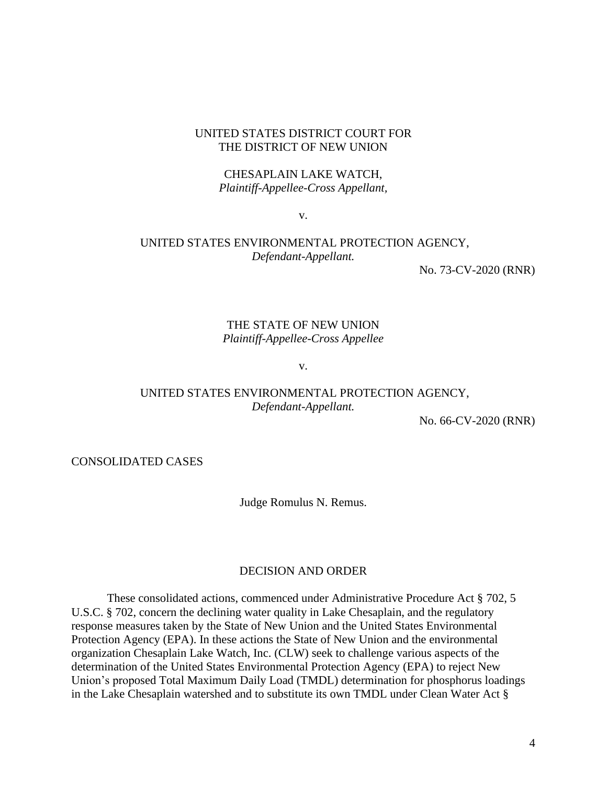#### UNITED STATES DISTRICT COURT FOR THE DISTRICT OF NEW UNION

#### CHESAPLAIN LAKE WATCH, *Plaintiff-Appellee-Cross Appellant,*

v.

## UNITED STATES ENVIRONMENTAL PROTECTION AGENCY, *Defendant-Appellant.*

No. 73-CV-2020 (RNR)

### THE STATE OF NEW UNION *Plaintiff-Appellee-Cross Appellee*

v.

# UNITED STATES ENVIRONMENTAL PROTECTION AGENCY, *Defendant-Appellant.*

No. 66-CV-2020 (RNR)

CONSOLIDATED CASES

Judge Romulus N. Remus.

#### DECISION AND ORDER

These consolidated actions, commenced under Administrative Procedure Act § 702, 5 U.S.C. § 702, concern the declining water quality in Lake Chesaplain, and the regulatory response measures taken by the State of New Union and the United States Environmental Protection Agency (EPA). In these actions the State of New Union and the environmental organization Chesaplain Lake Watch, Inc. (CLW) seek to challenge various aspects of the determination of the United States Environmental Protection Agency (EPA) to reject New Union's proposed Total Maximum Daily Load (TMDL) determination for phosphorus loadings in the Lake Chesaplain watershed and to substitute its own TMDL under Clean Water Act §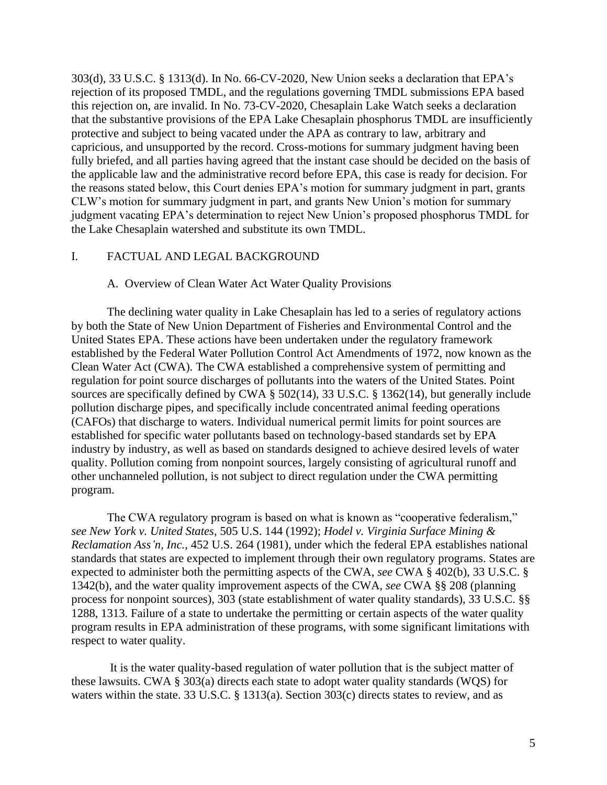303(d), 33 U.S.C. § 1313(d). In No. 66-CV-2020, New Union seeks a declaration that EPA's rejection of its proposed TMDL, and the regulations governing TMDL submissions EPA based this rejection on, are invalid. In No. 73-CV-2020, Chesaplain Lake Watch seeks a declaration that the substantive provisions of the EPA Lake Chesaplain phosphorus TMDL are insufficiently protective and subject to being vacated under the APA as contrary to law, arbitrary and capricious, and unsupported by the record. Cross-motions for summary judgment having been fully briefed, and all parties having agreed that the instant case should be decided on the basis of the applicable law and the administrative record before EPA, this case is ready for decision. For the reasons stated below, this Court denies EPA's motion for summary judgment in part, grants CLW's motion for summary judgment in part, and grants New Union's motion for summary judgment vacating EPA's determination to reject New Union's proposed phosphorus TMDL for the Lake Chesaplain watershed and substitute its own TMDL.

#### I. FACTUAL AND LEGAL BACKGROUND

#### A. Overview of Clean Water Act Water Quality Provisions

The declining water quality in Lake Chesaplain has led to a series of regulatory actions by both the State of New Union Department of Fisheries and Environmental Control and the United States EPA. These actions have been undertaken under the regulatory framework established by the Federal Water Pollution Control Act Amendments of 1972, now known as the Clean Water Act (CWA). The CWA established a comprehensive system of permitting and regulation for point source discharges of pollutants into the waters of the United States. Point sources are specifically defined by CWA § 502(14), 33 U.S.C. § 1362(14), but generally include pollution discharge pipes, and specifically include concentrated animal feeding operations (CAFOs) that discharge to waters. Individual numerical permit limits for point sources are established for specific water pollutants based on technology-based standards set by EPA industry by industry, as well as based on standards designed to achieve desired levels of water quality. Pollution coming from nonpoint sources, largely consisting of agricultural runoff and other unchanneled pollution, is not subject to direct regulation under the CWA permitting program.

The CWA regulatory program is based on what is known as "cooperative federalism," *see New York v. United States*, 505 U.S. 144 (1992); *Hodel v. Virginia Surface Mining & Reclamation Ass'n, Inc.*, 452 U.S. 264 (1981), under which the federal EPA establishes national standards that states are expected to implement through their own regulatory programs. States are expected to administer both the permitting aspects of the CWA, *see* CWA § 402(b), 33 U.S.C. § 1342(b), and the water quality improvement aspects of the CWA, *see* CWA §§ 208 (planning process for nonpoint sources), 303 (state establishment of water quality standards), 33 U.S.C. §§ 1288, 1313. Failure of a state to undertake the permitting or certain aspects of the water quality program results in EPA administration of these programs, with some significant limitations with respect to water quality.

It is the water quality-based regulation of water pollution that is the subject matter of these lawsuits. CWA § 303(a) directs each state to adopt water quality standards (WQS) for waters within the state. 33 U.S.C. § 1313(a). Section 303(c) directs states to review, and as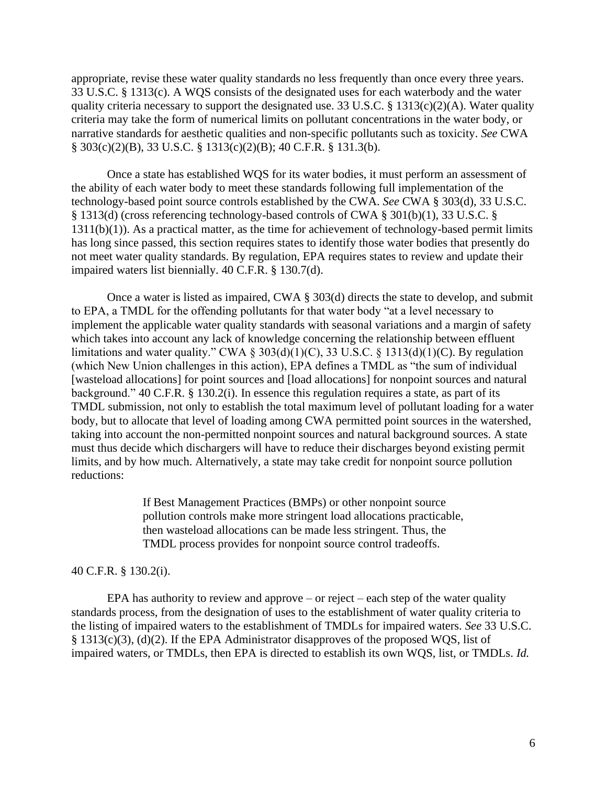appropriate, revise these water quality standards no less frequently than once every three years. 33 U.S.C. § 1313(c). A WQS consists of the designated uses for each waterbody and the water quality criteria necessary to support the designated use. 33 U.S.C. § 1313(c)(2)(A). Water quality criteria may take the form of numerical limits on pollutant concentrations in the water body, or narrative standards for aesthetic qualities and non-specific pollutants such as toxicity. *See* CWA § 303(c)(2)(B), 33 U.S.C. § 1313(c)(2)(B); 40 C.F.R. § 131.3(b).

Once a state has established WQS for its water bodies, it must perform an assessment of the ability of each water body to meet these standards following full implementation of the technology-based point source controls established by the CWA. *See* CWA § 303(d), 33 U.S.C. § 1313(d) (cross referencing technology-based controls of CWA § 301(b)(1), 33 U.S.C. § 1311(b)(1)). As a practical matter, as the time for achievement of technology-based permit limits has long since passed, this section requires states to identify those water bodies that presently do not meet water quality standards. By regulation, EPA requires states to review and update their impaired waters list biennially. 40 C.F.R. § 130.7(d).

Once a water is listed as impaired, CWA § 303(d) directs the state to develop, and submit to EPA, a TMDL for the offending pollutants for that water body "at a level necessary to implement the applicable water quality standards with seasonal variations and a margin of safety which takes into account any lack of knowledge concerning the relationship between effluent limitations and water quality." CWA  $\S 303(d)(1)(C)$ , 33 U.S.C.  $\S 1313(d)(1)(C)$ . By regulation (which New Union challenges in this action), EPA defines a TMDL as "the sum of individual [wasteload allocations] for point sources and [load allocations] for nonpoint sources and natural background." 40 C.F.R. § 130.2(i). In essence this regulation requires a state, as part of its TMDL submission, not only to establish the total maximum level of pollutant loading for a water body, but to allocate that level of loading among CWA permitted point sources in the watershed, taking into account the non-permitted nonpoint sources and natural background sources. A state must thus decide which dischargers will have to reduce their discharges beyond existing permit limits, and by how much. Alternatively, a state may take credit for nonpoint source pollution reductions:

> If Best Management Practices (BMPs) or other nonpoint source pollution controls make more stringent load allocations practicable, then wasteload allocations can be made less stringent. Thus, the TMDL process provides for nonpoint source control tradeoffs.

#### 40 C.F.R. § 130.2(i).

EPA has authority to review and approve – or reject – each step of the water quality standards process, from the designation of uses to the establishment of water quality criteria to the listing of impaired waters to the establishment of TMDLs for impaired waters. *See* 33 U.S.C. § 1313(c)(3), (d)(2). If the EPA Administrator disapproves of the proposed WQS, list of impaired waters, or TMDLs, then EPA is directed to establish its own WQS, list, or TMDLs. *Id.*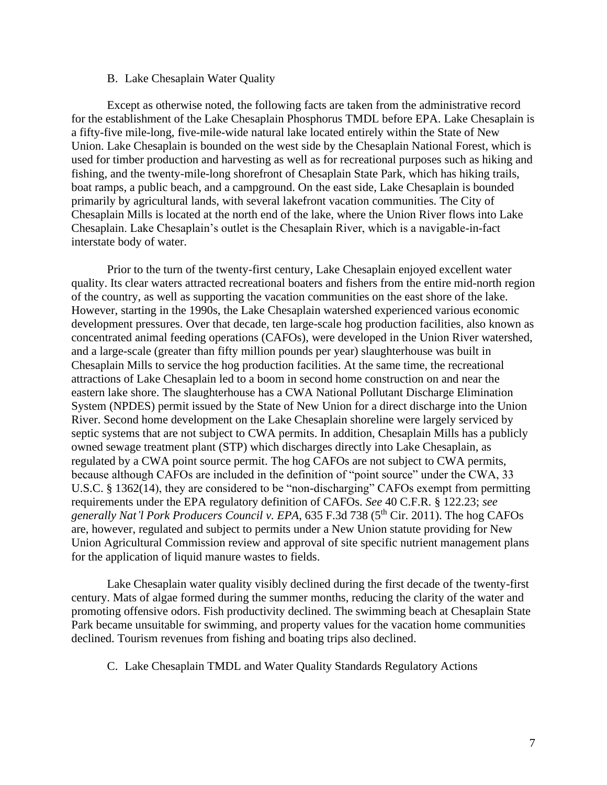#### B. Lake Chesaplain Water Quality

Except as otherwise noted, the following facts are taken from the administrative record for the establishment of the Lake Chesaplain Phosphorus TMDL before EPA. Lake Chesaplain is a fifty-five mile-long, five-mile-wide natural lake located entirely within the State of New Union. Lake Chesaplain is bounded on the west side by the Chesaplain National Forest, which is used for timber production and harvesting as well as for recreational purposes such as hiking and fishing, and the twenty-mile-long shorefront of Chesaplain State Park, which has hiking trails, boat ramps, a public beach, and a campground. On the east side, Lake Chesaplain is bounded primarily by agricultural lands, with several lakefront vacation communities. The City of Chesaplain Mills is located at the north end of the lake, where the Union River flows into Lake Chesaplain. Lake Chesaplain's outlet is the Chesaplain River, which is a navigable-in-fact interstate body of water.

Prior to the turn of the twenty-first century, Lake Chesaplain enjoyed excellent water quality. Its clear waters attracted recreational boaters and fishers from the entire mid-north region of the country, as well as supporting the vacation communities on the east shore of the lake. However, starting in the 1990s, the Lake Chesaplain watershed experienced various economic development pressures. Over that decade, ten large-scale hog production facilities, also known as concentrated animal feeding operations (CAFOs), were developed in the Union River watershed, and a large-scale (greater than fifty million pounds per year) slaughterhouse was built in Chesaplain Mills to service the hog production facilities. At the same time, the recreational attractions of Lake Chesaplain led to a boom in second home construction on and near the eastern lake shore. The slaughterhouse has a CWA National Pollutant Discharge Elimination System (NPDES) permit issued by the State of New Union for a direct discharge into the Union River. Second home development on the Lake Chesaplain shoreline were largely serviced by septic systems that are not subject to CWA permits. In addition, Chesaplain Mills has a publicly owned sewage treatment plant (STP) which discharges directly into Lake Chesaplain, as regulated by a CWA point source permit. The hog CAFOs are not subject to CWA permits, because although CAFOs are included in the definition of "point source" under the CWA, 33 U.S.C. § 1362(14), they are considered to be "non-discharging" CAFOs exempt from permitting requirements under the EPA regulatory definition of CAFOs. *See* 40 C.F.R. § 122.23; *see generally Nat'l Pork Producers Council v. EPA*, 635 F.3d 738 (5th Cir. 2011). The hog CAFOs are, however, regulated and subject to permits under a New Union statute providing for New Union Agricultural Commission review and approval of site specific nutrient management plans for the application of liquid manure wastes to fields.

Lake Chesaplain water quality visibly declined during the first decade of the twenty-first century. Mats of algae formed during the summer months, reducing the clarity of the water and promoting offensive odors. Fish productivity declined. The swimming beach at Chesaplain State Park became unsuitable for swimming, and property values for the vacation home communities declined. Tourism revenues from fishing and boating trips also declined.

C. Lake Chesaplain TMDL and Water Quality Standards Regulatory Actions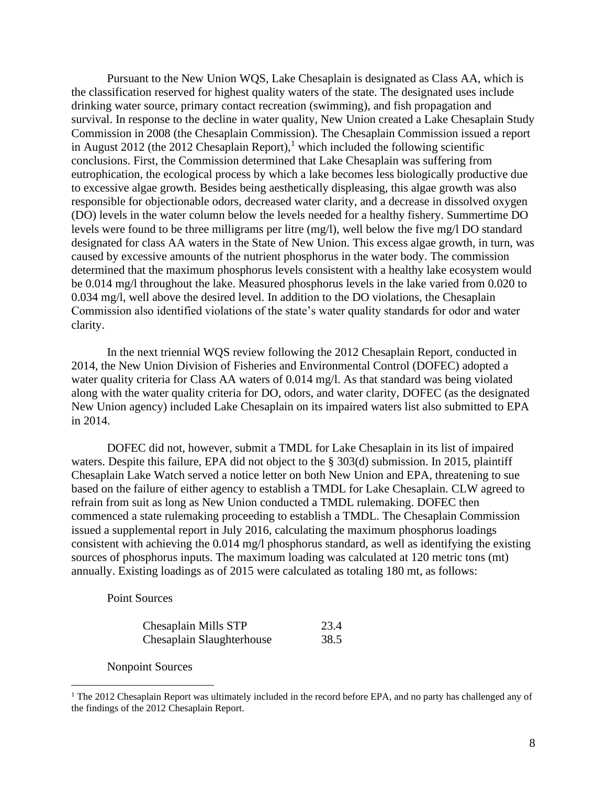Pursuant to the New Union WQS, Lake Chesaplain is designated as Class AA, which is the classification reserved for highest quality waters of the state. The designated uses include drinking water source, primary contact recreation (swimming), and fish propagation and survival. In response to the decline in water quality, New Union created a Lake Chesaplain Study Commission in 2008 (the Chesaplain Commission). The Chesaplain Commission issued a report in August 2012 (the 2012 Chesaplain Report),<sup>1</sup> which included the following scientific conclusions. First, the Commission determined that Lake Chesaplain was suffering from eutrophication, the ecological process by which a lake becomes less biologically productive due to excessive algae growth. Besides being aesthetically displeasing, this algae growth was also responsible for objectionable odors, decreased water clarity, and a decrease in dissolved oxygen (DO) levels in the water column below the levels needed for a healthy fishery. Summertime DO levels were found to be three milligrams per litre (mg/l), well below the five mg/l DO standard designated for class AA waters in the State of New Union. This excess algae growth, in turn, was caused by excessive amounts of the nutrient phosphorus in the water body. The commission determined that the maximum phosphorus levels consistent with a healthy lake ecosystem would be 0.014 mg/l throughout the lake. Measured phosphorus levels in the lake varied from 0.020 to 0.034 mg/l, well above the desired level. In addition to the DO violations, the Chesaplain Commission also identified violations of the state's water quality standards for odor and water clarity.

In the next triennial WQS review following the 2012 Chesaplain Report, conducted in 2014, the New Union Division of Fisheries and Environmental Control (DOFEC) adopted a water quality criteria for Class AA waters of 0.014 mg/l. As that standard was being violated along with the water quality criteria for DO, odors, and water clarity, DOFEC (as the designated New Union agency) included Lake Chesaplain on its impaired waters list also submitted to EPA in 2014.

DOFEC did not, however, submit a TMDL for Lake Chesaplain in its list of impaired waters. Despite this failure, EPA did not object to the § 303(d) submission. In 2015, plaintiff Chesaplain Lake Watch served a notice letter on both New Union and EPA, threatening to sue based on the failure of either agency to establish a TMDL for Lake Chesaplain. CLW agreed to refrain from suit as long as New Union conducted a TMDL rulemaking. DOFEC then commenced a state rulemaking proceeding to establish a TMDL. The Chesaplain Commission issued a supplemental report in July 2016, calculating the maximum phosphorus loadings consistent with achieving the 0.014 mg/l phosphorus standard, as well as identifying the existing sources of phosphorus inputs. The maximum loading was calculated at 120 metric tons (mt) annually. Existing loadings as of 2015 were calculated as totaling 180 mt, as follows:

Point Sources

| Chesaplain Mills STP      | 23.4 |
|---------------------------|------|
| Chesaplain Slaughterhouse | 38.5 |

Nonpoint Sources

<sup>&</sup>lt;sup>1</sup> The 2012 Chesaplain Report was ultimately included in the record before EPA, and no party has challenged any of the findings of the 2012 Chesaplain Report.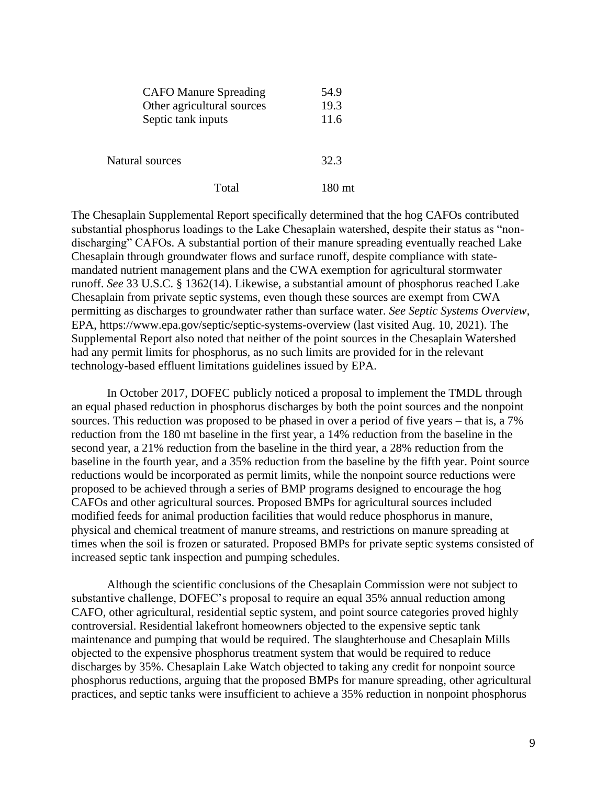|                    | <b>CAFO Manure Spreading</b> | 54.9 |
|--------------------|------------------------------|------|
|                    | Other agricultural sources   | 19.3 |
| Septic tank inputs |                              | 11.6 |
| Natural sources    |                              | 32.3 |
|                    | Total                        |      |

The Chesaplain Supplemental Report specifically determined that the hog CAFOs contributed substantial phosphorus loadings to the Lake Chesaplain watershed, despite their status as "nondischarging" CAFOs. A substantial portion of their manure spreading eventually reached Lake Chesaplain through groundwater flows and surface runoff, despite compliance with statemandated nutrient management plans and the CWA exemption for agricultural stormwater runoff. *See* 33 U.S.C. § 1362(14). Likewise, a substantial amount of phosphorus reached Lake Chesaplain from private septic systems, even though these sources are exempt from CWA permitting as discharges to groundwater rather than surface water. *See Septic Systems Overview*, EPA, https://www.epa.gov/septic/septic-systems-overview (last visited Aug. 10, 2021). The Supplemental Report also noted that neither of the point sources in the Chesaplain Watershed had any permit limits for phosphorus, as no such limits are provided for in the relevant technology-based effluent limitations guidelines issued by EPA.

In October 2017, DOFEC publicly noticed a proposal to implement the TMDL through an equal phased reduction in phosphorus discharges by both the point sources and the nonpoint sources. This reduction was proposed to be phased in over a period of five years – that is, a 7% reduction from the 180 mt baseline in the first year, a 14% reduction from the baseline in the second year, a 21% reduction from the baseline in the third year, a 28% reduction from the baseline in the fourth year, and a 35% reduction from the baseline by the fifth year. Point source reductions would be incorporated as permit limits, while the nonpoint source reductions were proposed to be achieved through a series of BMP programs designed to encourage the hog CAFOs and other agricultural sources. Proposed BMPs for agricultural sources included modified feeds for animal production facilities that would reduce phosphorus in manure, physical and chemical treatment of manure streams, and restrictions on manure spreading at times when the soil is frozen or saturated. Proposed BMPs for private septic systems consisted of increased septic tank inspection and pumping schedules.

Although the scientific conclusions of the Chesaplain Commission were not subject to substantive challenge, DOFEC's proposal to require an equal 35% annual reduction among CAFO, other agricultural, residential septic system, and point source categories proved highly controversial. Residential lakefront homeowners objected to the expensive septic tank maintenance and pumping that would be required. The slaughterhouse and Chesaplain Mills objected to the expensive phosphorus treatment system that would be required to reduce discharges by 35%. Chesaplain Lake Watch objected to taking any credit for nonpoint source phosphorus reductions, arguing that the proposed BMPs for manure spreading, other agricultural practices, and septic tanks were insufficient to achieve a 35% reduction in nonpoint phosphorus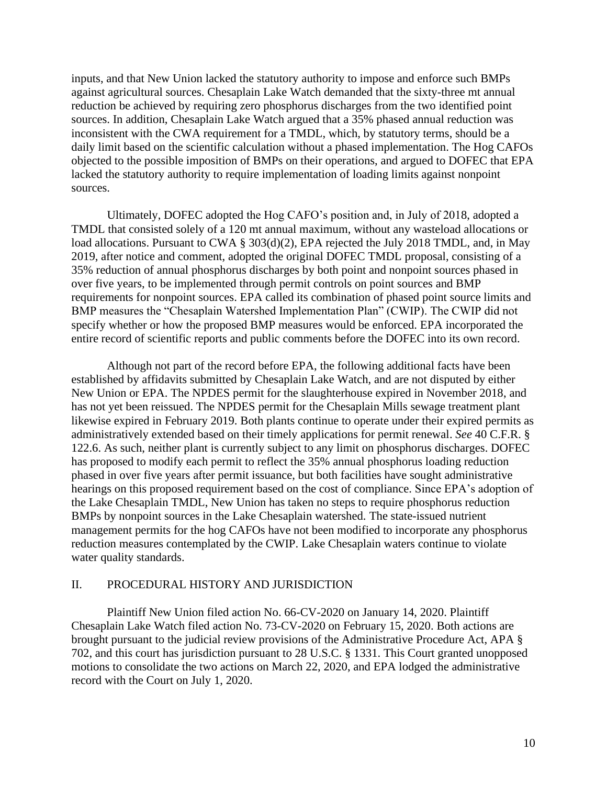inputs, and that New Union lacked the statutory authority to impose and enforce such BMPs against agricultural sources. Chesaplain Lake Watch demanded that the sixty-three mt annual reduction be achieved by requiring zero phosphorus discharges from the two identified point sources. In addition, Chesaplain Lake Watch argued that a 35% phased annual reduction was inconsistent with the CWA requirement for a TMDL, which, by statutory terms, should be a daily limit based on the scientific calculation without a phased implementation. The Hog CAFOs objected to the possible imposition of BMPs on their operations, and argued to DOFEC that EPA lacked the statutory authority to require implementation of loading limits against nonpoint sources.

Ultimately, DOFEC adopted the Hog CAFO's position and, in July of 2018, adopted a TMDL that consisted solely of a 120 mt annual maximum, without any wasteload allocations or load allocations. Pursuant to CWA § 303(d)(2), EPA rejected the July 2018 TMDL, and, in May 2019, after notice and comment, adopted the original DOFEC TMDL proposal, consisting of a 35% reduction of annual phosphorus discharges by both point and nonpoint sources phased in over five years, to be implemented through permit controls on point sources and BMP requirements for nonpoint sources. EPA called its combination of phased point source limits and BMP measures the "Chesaplain Watershed Implementation Plan" (CWIP). The CWIP did not specify whether or how the proposed BMP measures would be enforced. EPA incorporated the entire record of scientific reports and public comments before the DOFEC into its own record.

Although not part of the record before EPA, the following additional facts have been established by affidavits submitted by Chesaplain Lake Watch, and are not disputed by either New Union or EPA. The NPDES permit for the slaughterhouse expired in November 2018, and has not yet been reissued. The NPDES permit for the Chesaplain Mills sewage treatment plant likewise expired in February 2019. Both plants continue to operate under their expired permits as administratively extended based on their timely applications for permit renewal. *See* 40 C.F.R. § 122.6. As such, neither plant is currently subject to any limit on phosphorus discharges. DOFEC has proposed to modify each permit to reflect the 35% annual phosphorus loading reduction phased in over five years after permit issuance, but both facilities have sought administrative hearings on this proposed requirement based on the cost of compliance. Since EPA's adoption of the Lake Chesaplain TMDL, New Union has taken no steps to require phosphorus reduction BMPs by nonpoint sources in the Lake Chesaplain watershed. The state-issued nutrient management permits for the hog CAFOs have not been modified to incorporate any phosphorus reduction measures contemplated by the CWIP. Lake Chesaplain waters continue to violate water quality standards.

#### II. PROCEDURAL HISTORY AND JURISDICTION

Plaintiff New Union filed action No. 66-CV-2020 on January 14, 2020. Plaintiff Chesaplain Lake Watch filed action No. 73-CV-2020 on February 15, 2020. Both actions are brought pursuant to the judicial review provisions of the Administrative Procedure Act, APA § 702, and this court has jurisdiction pursuant to 28 U.S.C. § 1331. This Court granted unopposed motions to consolidate the two actions on March 22, 2020, and EPA lodged the administrative record with the Court on July 1, 2020.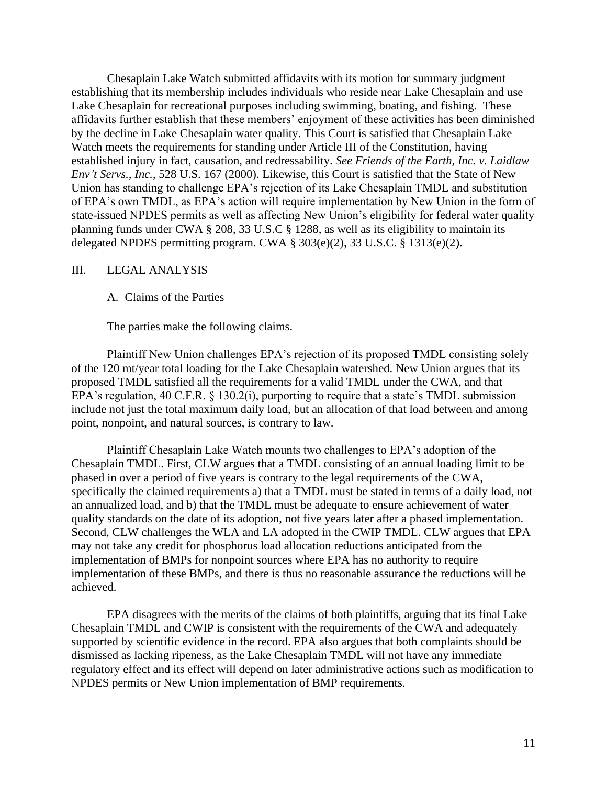Chesaplain Lake Watch submitted affidavits with its motion for summary judgment establishing that its membership includes individuals who reside near Lake Chesaplain and use Lake Chesaplain for recreational purposes including swimming, boating, and fishing. These affidavits further establish that these members' enjoyment of these activities has been diminished by the decline in Lake Chesaplain water quality. This Court is satisfied that Chesaplain Lake Watch meets the requirements for standing under Article III of the Constitution, having established injury in fact, causation, and redressability. *See Friends of the Earth, Inc. v. Laidlaw Env't Servs., Inc.*, 528 U.S. 167 (2000). Likewise, this Court is satisfied that the State of New Union has standing to challenge EPA's rejection of its Lake Chesaplain TMDL and substitution of EPA's own TMDL, as EPA's action will require implementation by New Union in the form of state-issued NPDES permits as well as affecting New Union's eligibility for federal water quality planning funds under CWA § 208, 33 U.S.C § 1288, as well as its eligibility to maintain its delegated NPDES permitting program. CWA § 303(e)(2), 33 U.S.C. § 1313(e)(2).

#### III. LEGAL ANALYSIS

A. Claims of the Parties

The parties make the following claims.

Plaintiff New Union challenges EPA's rejection of its proposed TMDL consisting solely of the 120 mt/year total loading for the Lake Chesaplain watershed. New Union argues that its proposed TMDL satisfied all the requirements for a valid TMDL under the CWA, and that EPA's regulation, 40 C.F.R. § 130.2(i), purporting to require that a state's TMDL submission include not just the total maximum daily load, but an allocation of that load between and among point, nonpoint, and natural sources, is contrary to law.

Plaintiff Chesaplain Lake Watch mounts two challenges to EPA's adoption of the Chesaplain TMDL. First, CLW argues that a TMDL consisting of an annual loading limit to be phased in over a period of five years is contrary to the legal requirements of the CWA, specifically the claimed requirements a) that a TMDL must be stated in terms of a daily load, not an annualized load, and b) that the TMDL must be adequate to ensure achievement of water quality standards on the date of its adoption, not five years later after a phased implementation. Second, CLW challenges the WLA and LA adopted in the CWIP TMDL. CLW argues that EPA may not take any credit for phosphorus load allocation reductions anticipated from the implementation of BMPs for nonpoint sources where EPA has no authority to require implementation of these BMPs, and there is thus no reasonable assurance the reductions will be achieved.

EPA disagrees with the merits of the claims of both plaintiffs, arguing that its final Lake Chesaplain TMDL and CWIP is consistent with the requirements of the CWA and adequately supported by scientific evidence in the record. EPA also argues that both complaints should be dismissed as lacking ripeness, as the Lake Chesaplain TMDL will not have any immediate regulatory effect and its effect will depend on later administrative actions such as modification to NPDES permits or New Union implementation of BMP requirements.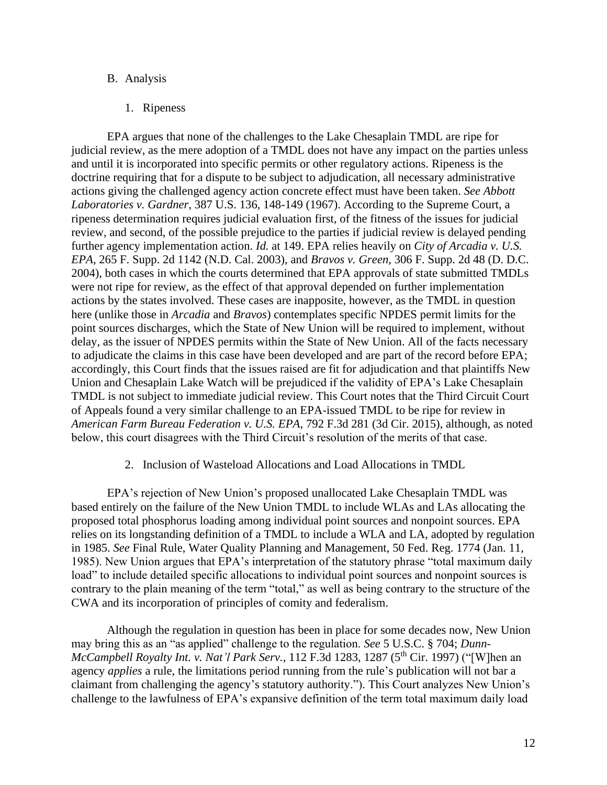#### B. Analysis

#### 1. Ripeness

EPA argues that none of the challenges to the Lake Chesaplain TMDL are ripe for judicial review, as the mere adoption of a TMDL does not have any impact on the parties unless and until it is incorporated into specific permits or other regulatory actions. Ripeness is the doctrine requiring that for a dispute to be subject to adjudication, all necessary administrative actions giving the challenged agency action concrete effect must have been taken. *See Abbott Laboratories v. Gardner*, 387 U.S. 136, 148-149 (1967). According to the Supreme Court, a ripeness determination requires judicial evaluation first, of the fitness of the issues for judicial review, and second, of the possible prejudice to the parties if judicial review is delayed pending further agency implementation action. *Id.* at 149. EPA relies heavily on *City of Arcadia v. U.S. EPA*, 265 F. Supp. 2d 1142 (N.D. Cal. 2003), and *Bravos v. Green,* 306 F. Supp. 2d 48 (D. D.C. 2004), both cases in which the courts determined that EPA approvals of state submitted TMDLs were not ripe for review, as the effect of that approval depended on further implementation actions by the states involved. These cases are inapposite, however, as the TMDL in question here (unlike those in *Arcadia* and *Bravos*) contemplates specific NPDES permit limits for the point sources discharges, which the State of New Union will be required to implement, without delay, as the issuer of NPDES permits within the State of New Union. All of the facts necessary to adjudicate the claims in this case have been developed and are part of the record before EPA; accordingly, this Court finds that the issues raised are fit for adjudication and that plaintiffs New Union and Chesaplain Lake Watch will be prejudiced if the validity of EPA's Lake Chesaplain TMDL is not subject to immediate judicial review. This Court notes that the Third Circuit Court of Appeals found a very similar challenge to an EPA-issued TMDL to be ripe for review in *American Farm Bureau Federation v. U.S. EPA*, 792 F.3d 281 (3d Cir. 2015), although, as noted below, this court disagrees with the Third Circuit's resolution of the merits of that case.

#### 2. Inclusion of Wasteload Allocations and Load Allocations in TMDL

EPA's rejection of New Union's proposed unallocated Lake Chesaplain TMDL was based entirely on the failure of the New Union TMDL to include WLAs and LAs allocating the proposed total phosphorus loading among individual point sources and nonpoint sources. EPA relies on its longstanding definition of a TMDL to include a WLA and LA, adopted by regulation in 1985. *See* Final Rule, Water Quality Planning and Management, 50 Fed. Reg. 1774 (Jan. 11, 1985). New Union argues that EPA's interpretation of the statutory phrase "total maximum daily load" to include detailed specific allocations to individual point sources and nonpoint sources is contrary to the plain meaning of the term "total," as well as being contrary to the structure of the CWA and its incorporation of principles of comity and federalism.

Although the regulation in question has been in place for some decades now, New Union may bring this as an "as applied" challenge to the regulation. *See* 5 U.S.C. § 704; *Dunn-McCampbell Royalty Int. v. Nat'l Park Serv.*, 112 F.3d 1283, 1287 (5th Cir. 1997) ("[W]hen an agency *applies* a rule, the limitations period running from the rule's publication will not bar a claimant from challenging the agency's statutory authority."). This Court analyzes New Union's challenge to the lawfulness of EPA's expansive definition of the term total maximum daily load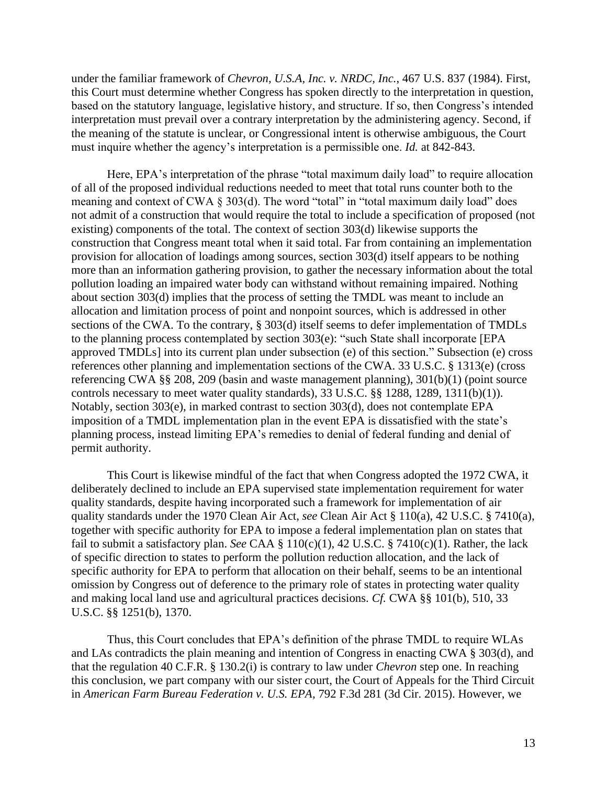under the familiar framework of *Chevron, U.S.A, Inc. v. NRDC, Inc.*, 467 U.S. 837 (1984). First, this Court must determine whether Congress has spoken directly to the interpretation in question, based on the statutory language, legislative history, and structure. If so, then Congress's intended interpretation must prevail over a contrary interpretation by the administering agency. Second, if the meaning of the statute is unclear, or Congressional intent is otherwise ambiguous, the Court must inquire whether the agency's interpretation is a permissible one. *Id.* at 842-843.

Here, EPA's interpretation of the phrase "total maximum daily load" to require allocation of all of the proposed individual reductions needed to meet that total runs counter both to the meaning and context of CWA  $\S 303(d)$ . The word "total" in "total maximum daily load" does not admit of a construction that would require the total to include a specification of proposed (not existing) components of the total. The context of section 303(d) likewise supports the construction that Congress meant total when it said total. Far from containing an implementation provision for allocation of loadings among sources, section 303(d) itself appears to be nothing more than an information gathering provision, to gather the necessary information about the total pollution loading an impaired water body can withstand without remaining impaired. Nothing about section 303(d) implies that the process of setting the TMDL was meant to include an allocation and limitation process of point and nonpoint sources, which is addressed in other sections of the CWA. To the contrary, § 303(d) itself seems to defer implementation of TMDLs to the planning process contemplated by section 303(e): "such State shall incorporate [EPA approved TMDLs] into its current plan under subsection (e) of this section." Subsection (e) cross references other planning and implementation sections of the CWA. 33 U.S.C. § 1313(e) (cross referencing CWA §§ 208, 209 (basin and waste management planning), 301(b)(1) (point source controls necessary to meet water quality standards), 33 U.S.C. §§ 1288, 1289, 1311(b)(1)). Notably, section 303(e), in marked contrast to section 303(d), does not contemplate EPA imposition of a TMDL implementation plan in the event EPA is dissatisfied with the state's planning process, instead limiting EPA's remedies to denial of federal funding and denial of permit authority.

This Court is likewise mindful of the fact that when Congress adopted the 1972 CWA, it deliberately declined to include an EPA supervised state implementation requirement for water quality standards, despite having incorporated such a framework for implementation of air quality standards under the 1970 Clean Air Act, *see* Clean Air Act § 110(a), 42 U.S.C. § 7410(a), together with specific authority for EPA to impose a federal implementation plan on states that fail to submit a satisfactory plan. *See* CAA § 110(c)(1), 42 U.S.C. § 7410(c)(1). Rather, the lack of specific direction to states to perform the pollution reduction allocation, and the lack of specific authority for EPA to perform that allocation on their behalf, seems to be an intentional omission by Congress out of deference to the primary role of states in protecting water quality and making local land use and agricultural practices decisions. *Cf.* CWA §§ 101(b), 510, 33 U.S.C. §§ 1251(b), 1370.

Thus, this Court concludes that EPA's definition of the phrase TMDL to require WLAs and LAs contradicts the plain meaning and intention of Congress in enacting CWA § 303(d), and that the regulation 40 C.F.R. § 130.2(i) is contrary to law under *Chevron* step one. In reaching this conclusion, we part company with our sister court, the Court of Appeals for the Third Circuit in *American Farm Bureau Federation v. U.S. EPA,* 792 F.3d 281 (3d Cir. 2015). However, we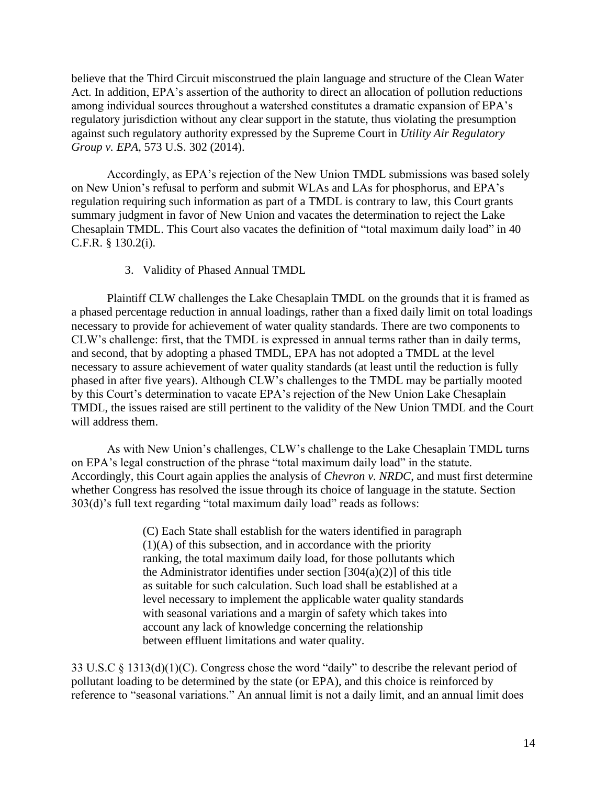believe that the Third Circuit misconstrued the plain language and structure of the Clean Water Act. In addition, EPA's assertion of the authority to direct an allocation of pollution reductions among individual sources throughout a watershed constitutes a dramatic expansion of EPA's regulatory jurisdiction without any clear support in the statute, thus violating the presumption against such regulatory authority expressed by the Supreme Court in *Utility Air Regulatory Group v. EPA*, 573 U.S. 302 (2014).

Accordingly, as EPA's rejection of the New Union TMDL submissions was based solely on New Union's refusal to perform and submit WLAs and LAs for phosphorus, and EPA's regulation requiring such information as part of a TMDL is contrary to law, this Court grants summary judgment in favor of New Union and vacates the determination to reject the Lake Chesaplain TMDL. This Court also vacates the definition of "total maximum daily load" in 40 C.F.R. § 130.2(i).

#### 3. Validity of Phased Annual TMDL

Plaintiff CLW challenges the Lake Chesaplain TMDL on the grounds that it is framed as a phased percentage reduction in annual loadings, rather than a fixed daily limit on total loadings necessary to provide for achievement of water quality standards. There are two components to CLW's challenge: first, that the TMDL is expressed in annual terms rather than in daily terms, and second, that by adopting a phased TMDL, EPA has not adopted a TMDL at the level necessary to assure achievement of water quality standards (at least until the reduction is fully phased in after five years). Although CLW's challenges to the TMDL may be partially mooted by this Court's determination to vacate EPA's rejection of the New Union Lake Chesaplain TMDL, the issues raised are still pertinent to the validity of the New Union TMDL and the Court will address them.

As with New Union's challenges, CLW's challenge to the Lake Chesaplain TMDL turns on EPA's legal construction of the phrase "total maximum daily load" in the statute. Accordingly, this Court again applies the analysis of *Chevron v. NRDC*, and must first determine whether Congress has resolved the issue through its choice of language in the statute. Section 303(d)'s full text regarding "total maximum daily load" reads as follows:

> (C) Each State shall establish for the waters identified in paragraph (1)(A) of this subsection, and in accordance with the priority ranking, the total maximum daily load, for those pollutants which the Administrator identifies under section  $[304(a)(2)]$  of this title as suitable for such calculation. Such load shall be established at a level necessary to implement the applicable water quality standards with seasonal variations and a margin of safety which takes into account any lack of knowledge concerning the relationship between effluent limitations and water quality.

33 U.S.C § 1313(d)(1)(C). Congress chose the word "daily" to describe the relevant period of pollutant loading to be determined by the state (or EPA), and this choice is reinforced by reference to "seasonal variations." An annual limit is not a daily limit, and an annual limit does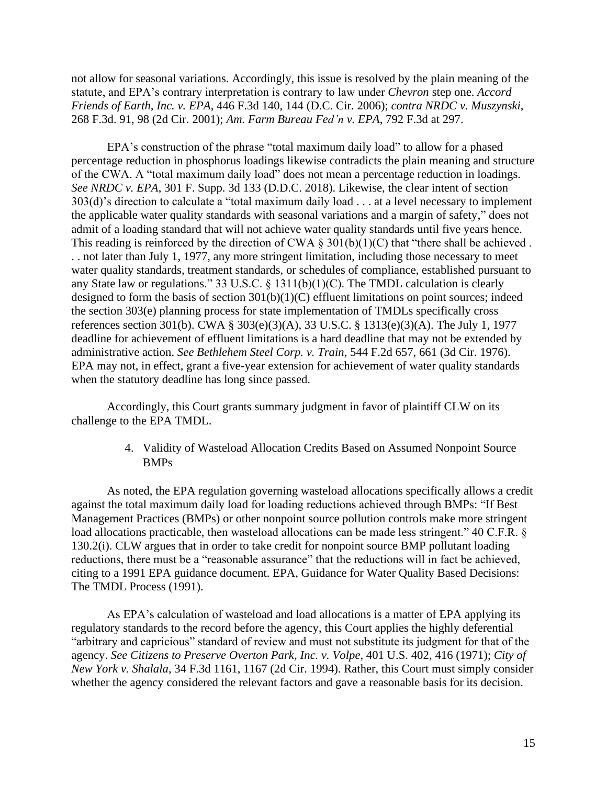not allow for seasonal variations. Accordingly, this issue is resolved by the plain meaning of the statute, and EPA's contrary interpretation is contrary to law under *Chevron* step one. *Accord Friends of Earth, Inc. v. EPA*, 446 F.3d 140, 144 (D.C. Cir. 2006); *contra NRDC v. Muszynski*, 268 F.3d. 91, 98 (2d Cir. 2001); *Am. Farm Bureau Fed'n v. EPA*, 792 F.3d at 297.

EPA's construction of the phrase "total maximum daily load" to allow for a phased percentage reduction in phosphorus loadings likewise contradicts the plain meaning and structure of the CWA. A "total maximum daily load" does not mean a percentage reduction in loadings. *See NRDC v. EPA*, 301 F. Supp. 3d 133 (D.D.C. 2018). Likewise, the clear intent of section 303(d)'s direction to calculate a "total maximum daily load . . . at a level necessary to implement the applicable water quality standards with seasonal variations and a margin of safety," does not admit of a loading standard that will not achieve water quality standards until five years hence. This reading is reinforced by the direction of CWA  $\S 301(b)(1)(C)$  that "there shall be achieved. . . not later than July 1, 1977, any more stringent limitation, including those necessary to meet water quality standards, treatment standards, or schedules of compliance, established pursuant to any State law or regulations." 33 U.S.C. § 1311(b)(1)(C). The TMDL calculation is clearly designed to form the basis of section 301(b)(1)(C) effluent limitations on point sources; indeed the section 303(e) planning process for state implementation of TMDLs specifically cross references section 301(b). CWA § 303(e)(3)(A), 33 U.S.C. § 1313(e)(3)(A). The July 1, 1977 deadline for achievement of effluent limitations is a hard deadline that may not be extended by administrative action. *See Bethlehem Steel Corp. v. Train,* 544 F.2d 657, 661 (3d Cir. 1976). EPA may not, in effect, grant a five-year extension for achievement of water quality standards when the statutory deadline has long since passed.

Accordingly, this Court grants summary judgment in favor of plaintiff CLW on its challenge to the EPA TMDL.

> 4. Validity of Wasteload Allocation Credits Based on Assumed Nonpoint Source BMPs

As noted, the EPA regulation governing wasteload allocations specifically allows a credit against the total maximum daily load for loading reductions achieved through BMPs: "If Best Management Practices (BMPs) or other nonpoint source pollution controls make more stringent load allocations practicable, then wasteload allocations can be made less stringent." 40 C.F.R. § 130.2(i). CLW argues that in order to take credit for nonpoint source BMP pollutant loading reductions, there must be a "reasonable assurance" that the reductions will in fact be achieved, citing to a 1991 EPA guidance document. EPA, Guidance for Water Quality Based Decisions: The TMDL Process (1991).

As EPA's calculation of wasteload and load allocations is a matter of EPA applying its regulatory standards to the record before the agency, this Court applies the highly deferential "arbitrary and capricious" standard of review and must not substitute its judgment for that of the agency. *See Citizens to Preserve Overton Park, Inc. v. Volpe*, 401 U.S. 402, 416 (1971); *City of New York v. Shalala*, 34 F.3d 1161, 1167 (2d Cir. 1994). Rather, this Court must simply consider whether the agency considered the relevant factors and gave a reasonable basis for its decision.